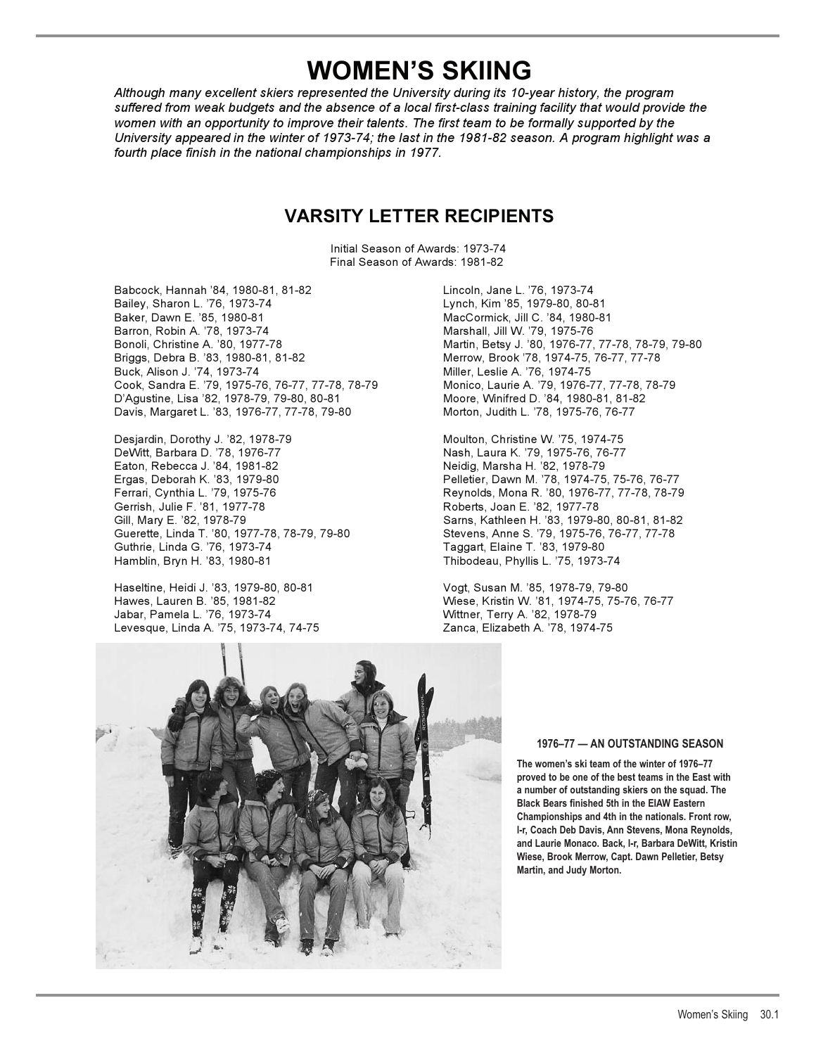# **WOMEN'S SKIING**

*Although many excellent skiers represented the University during its 10-year history, the program suffered from weak budgets and the absence of a local first-class training facility that would provide the women with an opportunity to improve their talents. The first team to be formally supported by the University appeared in the winter of 1973-74; the last in the 1981-82 season. A program highlight was a fourth place finish in the national championships in 1977.*

# **VARSITY LETTER RECIPIENTS**

 Initial Season of Awards: 1973-74 Final Season of Awards: 1981-82

Babcock, Hannah '84, 1980-81, 81-82 Lincoln, Jane L. '76, 1973-74 Bailey, Sharon L. '76, 1973-74 Lynch, Kim '85, 1979-80, 80-81 Barron, Robin A. '78, 1973-74 Marshall, Jill W. '79, 1975-76 Bonoli, Christine A. '80, 1977-78 Martin, Betsy J. '80, 1976-77, 77-78, 78-79, 79-80 Briggs, Debra B. '83, 1980-81, 81-82 Merrow, Brook '78, 1974-75, 76-77, 77-78 Buck, Alison J. '74, 1973-74<br>Cook, Sandra E. '79, 1975-76, 76-77, 77-78, 78-79 Monico, Laurie A. '79, 1976-77, 77-78, 78-79 Cook, Sandra E. '79, 1975-76, 76-77, 77-78, 78-79 D'Agustine, Lisa '82, 1978-79, 79-80, 80-81 Moore, Winifred D. '84, 1980-81, 81-82 Davis, Margaret L. '83, 1976-77, 77-78, 79-80 Morton, Judith L. '78, 1975-76, 76-77

Desjardin, Dorothy J. '82, 1978-79 Moulton, Christine W. '75, 1974-75 DeWitt, Barbara D. '78, 1976-77 Nash, Laura K. '79, 1975-76, 76-77 Eaton, Rebecca J. '84, 1981-82 Neidig, Marsha H. '82, 1978-79 Ergas, Deborah K. '83, 1979-80 Pelletier, Dawn M. '78, 1974-75, 75-76, 76-77 Gerrish, Julie F. '81, 1977-78 Roberts, Joan E. '82, 1977-78 Guerette, Linda T. '80, 1977-78, 78-79, 79-80 Stevens, Anne S. '79, 1975-76, 76-77, 77-78 Guthrie, Linda G. '76, 1973-74 Taggart, Elaine T. '83, 1979-80

Haseltine, Heidi J. '83, 1979-80, 80-81 Vogt, Susan M. '85, 1978-79, 79-80 Jabar, Pamela L. '76, 1973-74 Wittner, Terry A. '82, 1978-79 Levesque, Linda A. '75, 1973-74, 74-75 Zanca, Elizabeth A. '78, 1974-75

MacCormick, Jill C. '84, 1980-81

Reynolds, Mona R. '80, 1976-77, 77-78, 78-79 Gill, Mary E. '82, 1978-79 Sarns, Kathleen H. '83, 1979-80, 80-81, 81-82 Thibodeau, Phyllis L. '75, 1973-74

Hawes, Lauren B. '85, 1981-82 Wiese, Kristin W. '81, 1974-75, 75-76, 76-77



## **1976–77 — AN OUTSTANDING SEASON**

**The women's ski team of the winter of 1976–77 proved to be one of the best teams in the East with a number of outstanding skiers on the squad. The Black Bears finished 5th in the EIAW Eastern Championships and 4th in the nationals. Front row, l-r, Coach Deb Davis, Ann Stevens, Mona Reynolds, and Laurie Monaco. Back, l-r, Barbara DeWitt, Kristin Wiese, Brook Merrow, Capt. Dawn Pelletier, Betsy Martin, and Judy Morton.**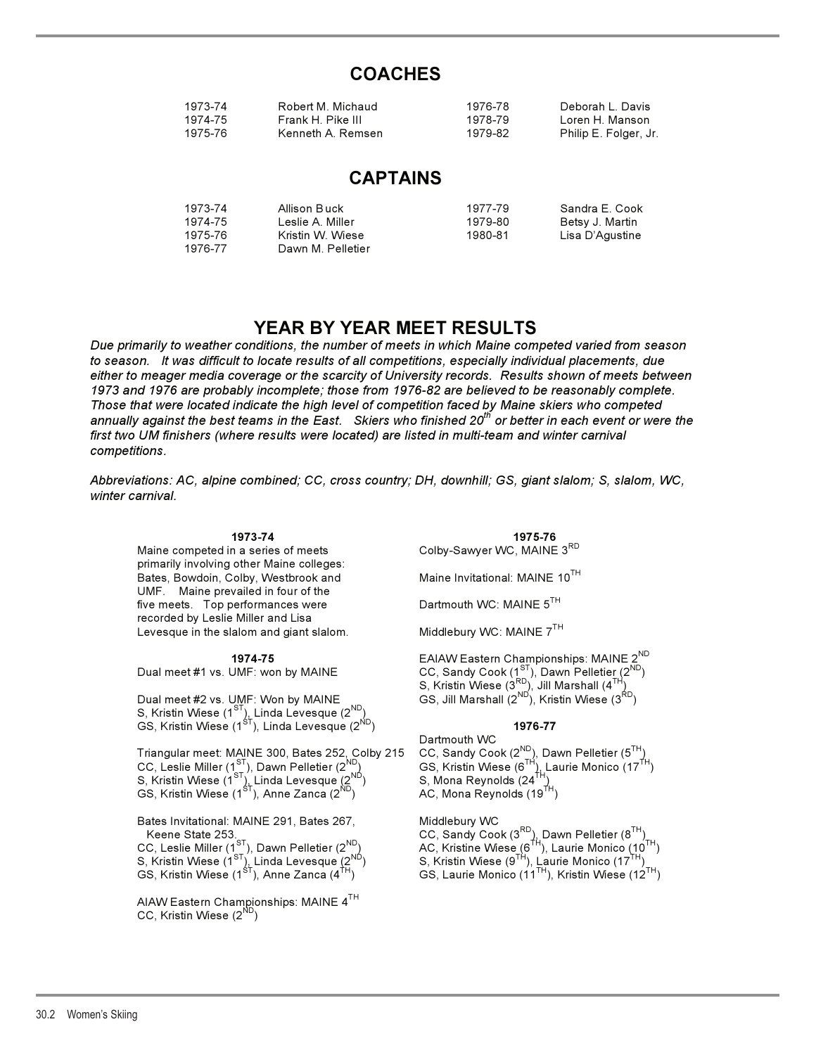# **COACHES**

| 1973-74 | Robert M. Michaud | 1976-78 | Deborah I Davis       |
|---------|-------------------|---------|-----------------------|
| 1974-75 | Frank H. Pike III | 1978-79 | Loren H. Manson       |
| 1975-76 | Kenneth A. Remsen | 1979-82 | Philip E. Folger, Jr. |

## **CAPTAINS**

| 1973-74 | Allison Buck      | 1977-79 | Sandra E. Cook  |
|---------|-------------------|---------|-----------------|
| 1974-75 | l eslie A. Miller | 1979-80 | Betsy J. Martin |
| 1975-76 | Kristin W. Wiese  | 1980-81 | Lisa D'Agustine |
| 1976-77 | Dawn M. Pelletier |         |                 |

# **YEAR BY YEAR MEET RESULTS**

*Due primarily to weather conditions, the number of meets in which Maine competed varied from season to season. It was difficult to locate results of all competitions, especially individual placements, due either to meager media coverage or the scarcity of University records. Results shown of meets between 1973 and 1976 are probably incomplete; those from 1976-82 are believed to be reasonably complete. Those that were located indicate the high level of competition faced by Maine skiers who competed annually against the best teams in the East. Skiers who finished 20th or better in each event or were the first two UM finishers (where results were located) are listed in multi-team and winter carnival competitions.*

*Abbreviations: AC, alpine combined; CC, cross country; DH, downhill; GS, giant slalom; S, slalom, WC, winter carnival.*

primarily involving other Maine colleges: Bates, Bowdoin, Colby, Westbrook and Maine Invitational: MAINE 10<sup>TH</sup> UMF. Maine prevailed in four of the five meets. Top performances were Dartmouth WC: MAINE 5<sup>TH</sup> recorded by Leslie Miller and Lisa Levesque in the slalom and giant slalom. Middlebury WC: MAINE 7<sup>TH</sup>

Dual meet #2 vs. UMF: Won by MAINE  $\qquad \qquad \qquad \mathsf{GS}, \mathsf{Jill}$  Marshall  $(2^{\mathsf{ND}}),$  Kristin Wiese  $(3^{\mathsf{RD}})$ S, Kristin Wiese (1 $^{ST}$ ), Linda Levesque (2 $^{ND}$ ) GS, Kristin Wiese (1<sup>ST</sup>), Linda Levesque (2<sup>ND</sup>) **1976-77 1976-77** 

Triangular meet: MAINE 300, Bates 252, Colby 215 S, Kristin Wiese (1 $\text{ST}_{12}^{\text{DT}}$ Linda Levesque (2 $\text{ND}_{12}^{\text{ND}}$  S, Mona Reynolds (24 $\text{TN}_{21}$ GS, Kristin Wiese (1<sup>ST</sup>), Anne Zanca (2<sup>ND</sup>)  $\overline{AC}$ , Mona Reynolds (19<sup>TH</sup>)

Bates Invitational: MAINE 291, Bates 267, Middlebury WC<br>Keene State 253. CC, Sandy Coo

AIAW Eastern Championships: MAINE 4TH CC, Kristin Wiese  $(2^{NL}$ 

 **1973-74 1975-76**  Maine competed in a series of meets Colby-Sawyer WC, MAINE 3RD

**1974-75 1974-75 EAIAW Eastern Championships: MAINE 2<sup>ND</sup>**<br>CC, Sandy Cook (1<sup>ST</sup>), Dawn Pelletie<u>r</u> (2<sup>ND</sup>) Dual meet #1 vs. UMF: won by MAINE  $CC$ , Sandy Cook (1<sup>ST</sup>), Dawn Pelletie<u>r</u> (2<sup>ND</sup>)  $S, K$ ristin Wiese ( $3^{RD}$ ), Jill Marshall ( $4^{TH}$ )

 Dartmouth WC CC, Sandy Cook (2<sup>ND</sup>), Dawn Pelletier (5<sup>TH</sup>)<br>GS, Kristin Wiese (6<sup>TH</sup>), Laurie Monico (17<sup>TH</sup>)<br>S, Mona Reynolds (24<sup>TH</sup>)

Keene State 253. CC, Sandy Cook  $(3^{RD})$ , Dawn Pelletier  $(8^{TH})$ CC, Leslie Miller (1 $^{\rm SI}$ ), Dawn Pelletier (2 $^{\rm ND}$ ) AC, Kristine Wiese (6 $^{\rm TH}$ ), Laurie Monico (10 $^{\rm TH}$ ) S, Kristin Wiese (1 $^{\rm SI}$ ), Linda Levesque (2 $^{\rm ND}$ ) S, Kristin Wiese (9 $^{\rm TH}$ ), Laurie Monico (1 $7^{\rm TH}$ ) Reflexive Co., Sandy Cook (3 and Cook (3 and Pelletter (8 and Cook (3 and Pelletter (8 and Cook (3 and Pelletter (8 and Cook (3 and Pelletter (8 and Cook (5 and Cook (5 and Cook (5 and Cook (5 and Cook (10<sup>TH</sup>), CS, Krist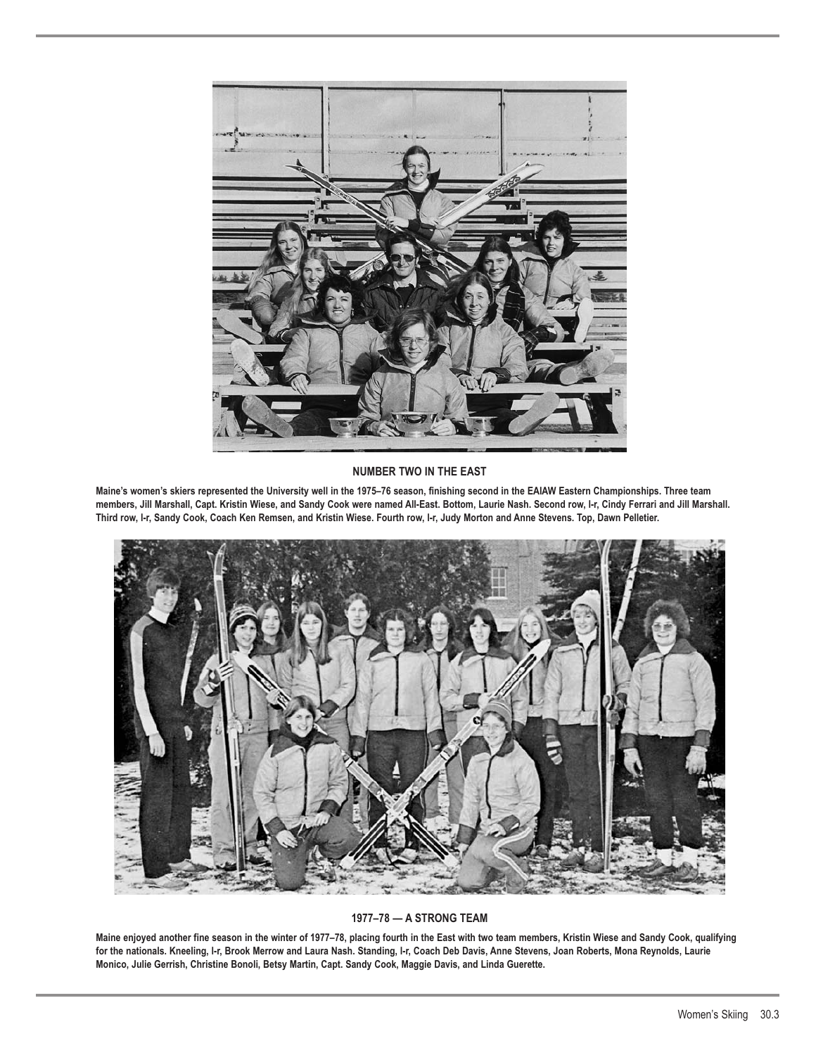

## **NUMBER TWO IN THE EAST**

**Maine's women's skiers represented the University well in the 1975–76 season, finishing second in the EAIAW Eastern Championships. Three team members, Jill Marshall, Capt. Kristin Wiese, and Sandy Cook were named All-East. Bottom, Laurie Nash. Second row, l-r, Cindy Ferrari and Jill Marshall. Third row, l-r, Sandy Cook, Coach Ken Remsen, and Kristin Wiese. Fourth row, l-r, Judy Morton and Anne Stevens. Top, Dawn Pelletier.**



## **1977–78 — A STRONG TEAM**

**Maine enjoyed another fine season in the winter of 1977–78, placing fourth in the East with two team members, Kristin Wiese and Sandy Cook, qualifying for the nationals. Kneeling, l-r, Brook Merrow and Laura Nash. Standing, l-r, Coach Deb Davis, Anne Stevens, Joan Roberts, Mona Reynolds, Laurie Monico, Julie Gerrish, Christine Bonoli, Betsy Martin, Capt. Sandy Cook, Maggie Davis, and Linda Guerette.**